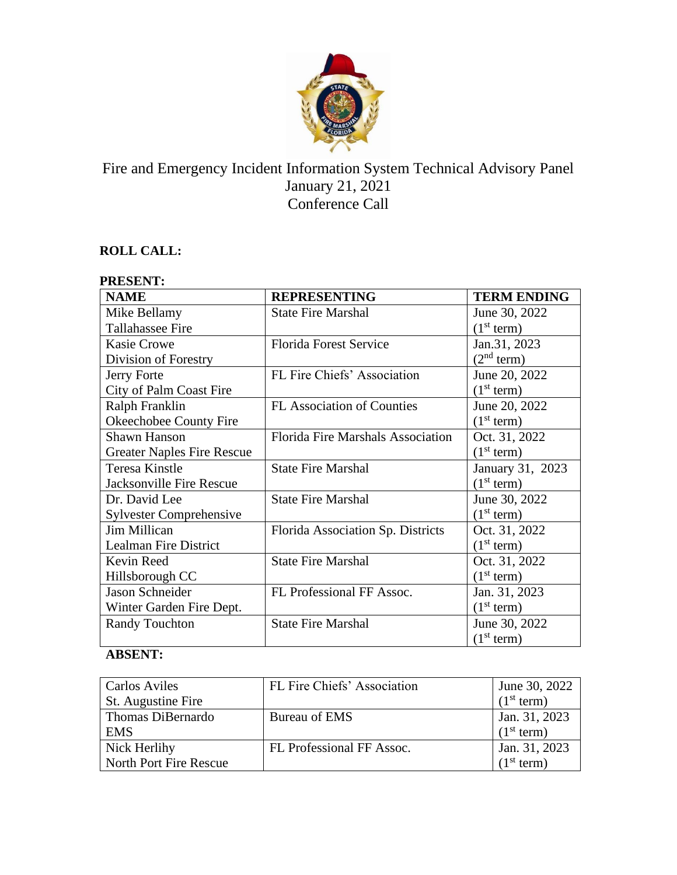

# Fire and Emergency Incident Information System Technical Advisory Panel January 21, 2021 Conference Call

## **ROLL CALL:**

| <b>PRESENT:</b>                   |                                          |                        |  |
|-----------------------------------|------------------------------------------|------------------------|--|
| <b>NAME</b>                       | <b>REPRESENTING</b>                      | <b>TERM ENDING</b>     |  |
| Mike Bellamy                      | <b>State Fire Marshal</b>                | June 30, 2022          |  |
| <b>Tallahassee Fire</b>           |                                          | (1 <sup>st</sup> term) |  |
| <b>Kasie Crowe</b>                | <b>Florida Forest Service</b>            | Jan.31, 2023           |  |
| Division of Forestry              |                                          | (2 <sup>nd</sup> term) |  |
| Jerry Forte                       | FL Fire Chiefs' Association              | June 20, 2022          |  |
| City of Palm Coast Fire           |                                          | (1 <sup>st</sup> term) |  |
| Ralph Franklin                    | <b>FL Association of Counties</b>        | June 20, 2022          |  |
| Okeechobee County Fire            |                                          | (1 <sup>st</sup> term) |  |
| <b>Shawn Hanson</b>               | <b>Florida Fire Marshals Association</b> | Oct. 31, 2022          |  |
| <b>Greater Naples Fire Rescue</b> |                                          | (1 <sup>st</sup> term) |  |
| <b>Teresa Kinstle</b>             | <b>State Fire Marshal</b>                | January 31, 2023       |  |
| <b>Jacksonville Fire Rescue</b>   |                                          | (1 <sup>st</sup> term) |  |
| Dr. David Lee                     | <b>State Fire Marshal</b>                | June 30, 2022          |  |
| <b>Sylvester Comprehensive</b>    |                                          | (1 <sup>st</sup> term) |  |
| Jim Millican                      | Florida Association Sp. Districts        | Oct. 31, 2022          |  |
| Lealman Fire District             |                                          | (1 <sup>st</sup> term) |  |
| Kevin Reed                        | <b>State Fire Marshal</b>                | Oct. 31, 2022          |  |
| Hillsborough CC                   |                                          | (1 <sup>st</sup> term) |  |
| Jason Schneider                   | FL Professional FF Assoc.                | Jan. 31, 2023          |  |
| Winter Garden Fire Dept.          |                                          | (1 <sup>st</sup> term) |  |
| <b>Randy Touchton</b>             | <b>State Fire Marshal</b>                | June 30, 2022          |  |
|                                   |                                          | (1 <sup>st</sup> term) |  |

## **ABSENT:**

| Carlos Aviles          | FL Fire Chiefs' Association | June 30, 2022          |
|------------------------|-----------------------------|------------------------|
| St. Augustine Fire     |                             | (1 <sup>st</sup> term) |
| Thomas DiBernardo      | Bureau of EMS               | Jan. 31, 2023          |
| <b>EMS</b>             |                             | (1 <sup>st</sup> term) |
| Nick Herlihy           | FL Professional FF Assoc.   | Jan. 31, 2023          |
| North Port Fire Rescue |                             | (1 <sup>st</sup> term) |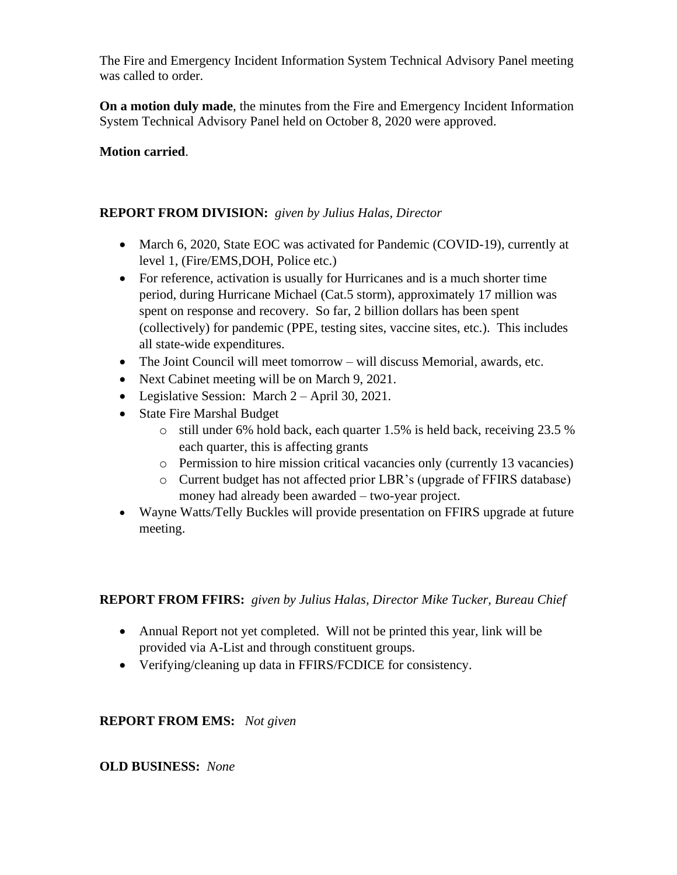The Fire and Emergency Incident Information System Technical Advisory Panel meeting was called to order.

**On a motion duly made**, the minutes from the Fire and Emergency Incident Information System Technical Advisory Panel held on October 8, 2020 were approved.

## **Motion carried**.

## **REPORT FROM DIVISION:** *given by Julius Halas, Director*

- March 6, 2020, State EOC was activated for Pandemic (COVID-19), currently at level 1, (Fire/EMS,DOH, Police etc.)
- For reference, activation is usually for Hurricanes and is a much shorter time period, during Hurricane Michael (Cat.5 storm), approximately 17 million was spent on response and recovery. So far, 2 billion dollars has been spent (collectively) for pandemic (PPE, testing sites, vaccine sites, etc.). This includes all state-wide expenditures.
- The Joint Council will meet tomorrow will discuss Memorial, awards, etc.
- Next Cabinet meeting will be on March 9, 2021.
- Legislative Session: March 2 April 30, 2021.
- State Fire Marshal Budget
	- o still under 6% hold back, each quarter 1.5% is held back, receiving 23.5 % each quarter, this is affecting grants
	- o Permission to hire mission critical vacancies only (currently 13 vacancies)
	- o Current budget has not affected prior LBR's (upgrade of FFIRS database) money had already been awarded – two-year project.
- Wayne Watts/Telly Buckles will provide presentation on FFIRS upgrade at future meeting.

### **REPORT FROM FFIRS:** *given by Julius Halas, Director Mike Tucker, Bureau Chief*

- Annual Report not yet completed. Will not be printed this year, link will be provided via A-List and through constituent groups.
- Verifying/cleaning up data in FFIRS/FCDICE for consistency.

## **REPORT FROM EMS:** *Not given*

### **OLD BUSINESS:** *None*